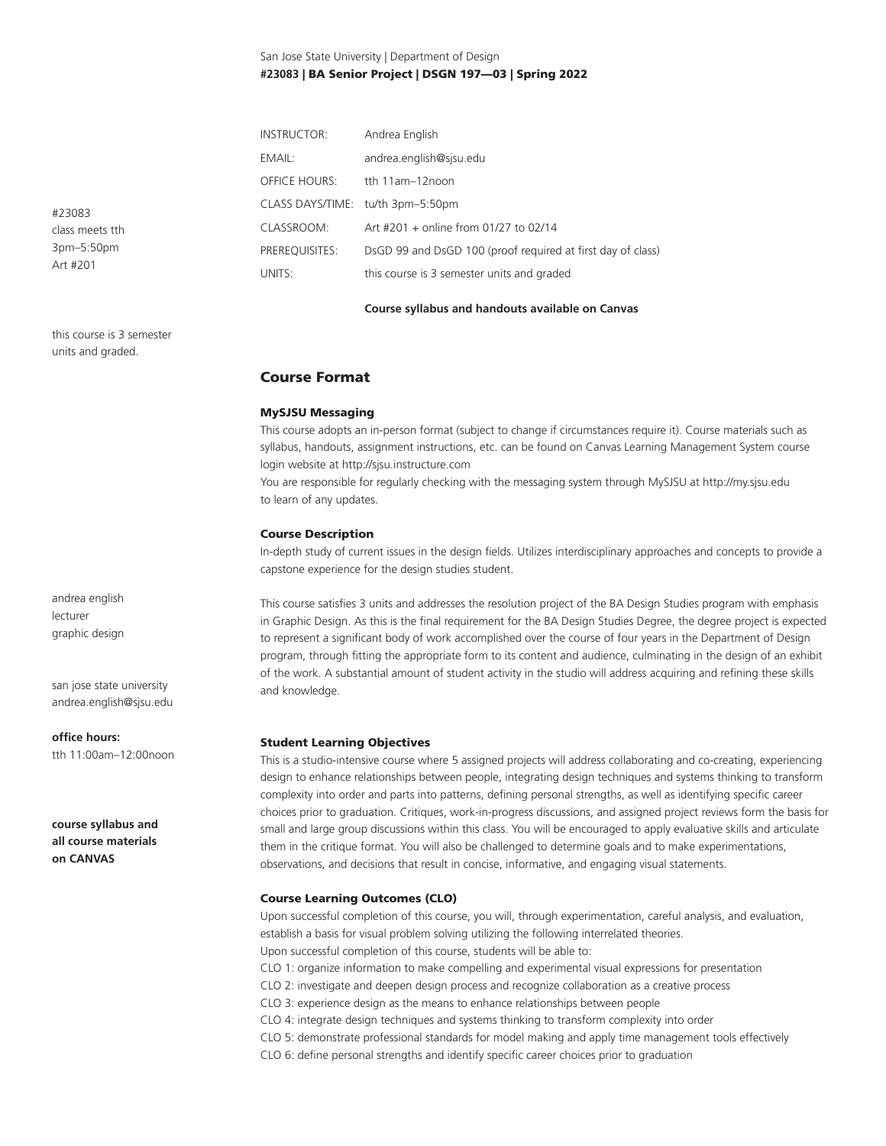# San Jose State University | Department of Design **#23083** | BA Senior Project | DSGN 197—03 | Spring 2022

| <b>INSTRUCTOR:</b>   | Andrea English                                              |  |  |
|----------------------|-------------------------------------------------------------|--|--|
| EMAIL:               | andrea.english@sjsu.edu                                     |  |  |
| <b>OFFICE HOURS:</b> | tth 11am-12noon                                             |  |  |
|                      | CLASS DAYS/TIME: tu/th 3pm-5:50pm                           |  |  |
| CLASSROOM:           | Art #201 + online from 01/27 to 02/14                       |  |  |
| PREREOUISITES:       | DsGD 99 and DsGD 100 (proof required at first day of class) |  |  |
| UNITS:               | this course is 3 semester units and graded                  |  |  |

#### **Course syllabus and handouts available on Canvas**

Course Format

# MySJSU Messaging

This course adopts an in-person format (subject to change if circumstances require it). Course materials such as syllabus, handouts, assignment instructions, etc. can be found on Canvas Learning Management System course login website at http://sjsu.instructure.com

You are responsible for regularly checking with the messaging system through MySJSU at http://my.sjsu.edu to learn of any updates.

#### Course Description

In-depth study of current issues in the design fields. Utilizes interdisciplinary approaches and concepts to provide a capstone experience for the design studies student.

This course satisfies 3 units and addresses the resolution project of the BA Design Studies program with emphasis in Graphic Design. As this is the final requirement for the BA Design Studies Degree, the degree project is expected to represent a significant body of work accomplished over the course of four years in the Department of Design program, through fitting the appropriate form to its content and audience, culminating in the design of an exhibit of the work. A substantial amount of student activity in the studio will address acquiring and refining these skills and knowledge.

#### Student Learning Objectives

This is a studio-intensive course where 5 assigned projects will address collaborating and co-creating, experiencing design to enhance relationships between people, integrating design techniques and systems thinking to transform complexity into order and parts into patterns, defining personal strengths, as well as identifying specific career choices prior to graduation. Critiques, work-in-progress discussions, and assigned project reviews form the basis for small and large group discussions within this class. You will be encouraged to apply evaluative skills and articulate them in the critique format. You will also be challenged to determine goals and to make experimentations, observations, and decisions that result in concise, informative, and engaging visual statements.

# Course Learning Outcomes (CLO)

Upon successful completion of this course, you will, through experimentation, careful analysis, and evaluation, establish a basis for visual problem solving utilizing the following interrelated theories. Upon successful completion of this course, students will be able to: CLO 1: organize information to make compelling and experimental visual expressions for presentation CLO 2: investigate and deepen design process and recognize collaboration as a creative process CLO 3: experience design as the means to enhance relationships between people CLO 4: integrate design techniques and systems thinking to transform complexity into order CLO 5: demonstrate professional standards for model making and apply time management tools effectively CLO 6: define personal strengths and identify specific career choices prior to graduation

#23083 class meets tth 3pm–5:50pm Art #201

this course is 3 semester units and graded.

andrea english lecturer graphic design

san jose state university andrea.english@sjsu.edu

#### **office hours:**

tth 11:00am–12:00noon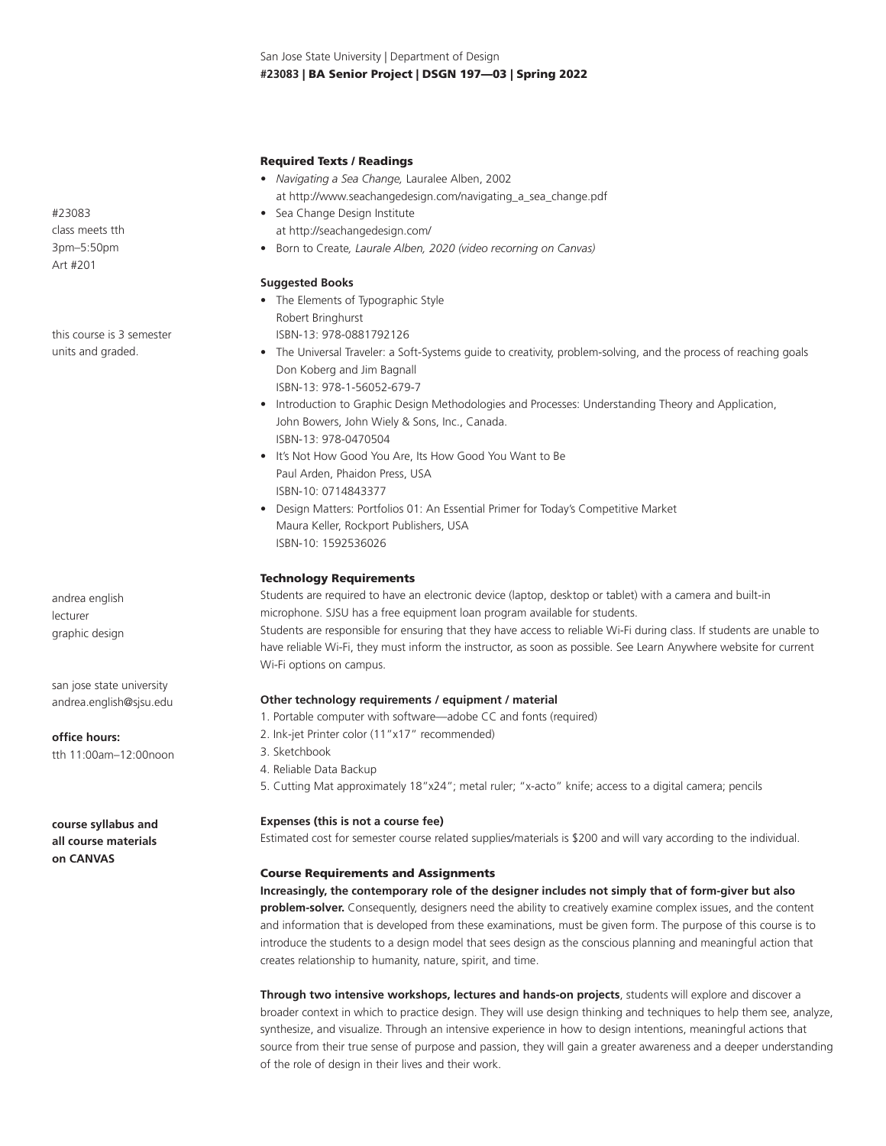San Jose State University | Department of Design **#23083** | BA Senior Project | DSGN 197—03 | Spring 2022

### Required Texts / Readings

- *Navigating a Sea Change,* Lauralee Alben, 2002 at http://www.seachangedesign.com/navigating\_a\_sea\_change.pdf
- Sea Change Design Institute at http://seachangedesign.com/
- Born to Create*, Laurale Alben, 2020 (video recorning on Canvas)*

#### **Suggested Books**

- The Elements of Typographic Style Robert Bringhurst ISBN-13: 978-0881792126
- The Universal Traveler: a Soft-Systems guide to creativity, problem-solving, and the process of reaching goals Don Koberg and Jim Bagnall ISBN-13: 978-1-56052-679-7
- Introduction to Graphic Design Methodologies and Processes: Understanding Theory and Application, John Bowers, John Wiely & Sons, Inc., Canada. ISBN-13: 978-0470504
- It's Not How Good You Are, Its How Good You Want to Be Paul Arden, Phaidon Press, USA ISBN-10: 0714843377
- Design Matters: Portfolios 01: An Essential Primer for Today's Competitive Market Maura Keller, Rockport Publishers, USA ISBN-10: 1592536026

#### Technology Requirements

Students are required to have an electronic device (laptop, desktop or tablet) with a camera and built-in microphone. SJSU has a free equipment loan program available for students. Students are responsible for ensuring that they have access to reliable Wi-Fi during class. If students are unable to have reliable Wi-Fi, they must inform the instructor, as soon as possible. See Learn Anywhere website for current Wi-Fi options on campus.

# **Other technology requirements / equipment / material**

- 1. Portable computer with software—adobe CC and fonts (required)
- 2. Ink-jet Printer color (11"x17" recommended)
- 3. Sketchbook
- 4. Reliable Data Backup
- 5. Cutting Mat approximately 18"x24"; metal ruler; "x-acto" knife; access to a digital camera; pencils

#### **Expenses (this is not a course fee)**

Estimated cost for semester course related supplies/materials is \$200 and will vary according to the individual.

#### Course Requirements and Assignments

**Increasingly, the contemporary role of the designer includes not simply that of form-giver but also problem-solver.** Consequently, designers need the ability to creatively examine complex issues, and the content and information that is developed from these examinations, must be given form. The purpose of this course is to introduce the students to a design model that sees design as the conscious planning and meaningful action that creates relationship to humanity, nature, spirit, and time.

**Through two intensive workshops, lectures and hands-on projects**, students will explore and discover a broader context in which to practice design. They will use design thinking and techniques to help them see, analyze, synthesize, and visualize. Through an intensive experience in how to design intentions, meaningful actions that source from their true sense of purpose and passion, they will gain a greater awareness and a deeper understanding of the role of design in their lives and their work.

#23083 class meets tth 3pm–5:50pm Art #201

this course is 3 semester units and graded.

andrea english lecturer graphic design

san jose state university andrea.english@sjsu.edu

**office hours:**

tth 11:00am–12:00noon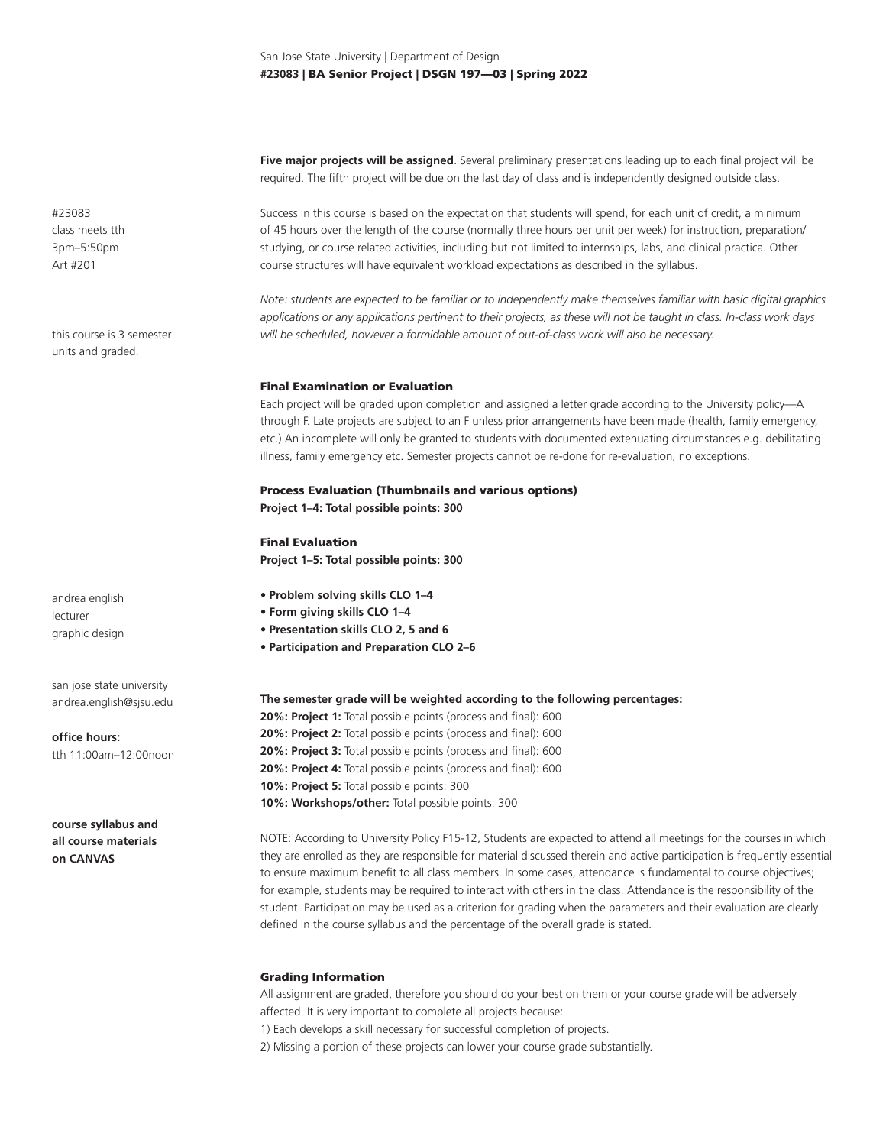**Five major projects will be assigned**. Several preliminary presentations leading up to each final project will be required. The fifth project will be due on the last day of class and is independently designed outside class.

Success in this course is based on the expectation that students will spend, for each unit of credit, a minimum of 45 hours over the length of the course (normally three hours per unit per week) for instruction, preparation/ studying, or course related activities, including but not limited to internships, labs, and clinical practica. Other course structures will have equivalent workload expectations as described in the syllabus.

*Note: students are expected to be familiar or to independently make themselves familiar with basic digital graphics applications or any applications pertinent to their projects, as these will not be taught in class. In-class work days will be scheduled, however a formidable amount of out-of-class work will also be necessary.* 

#### Final Examination or Evaluation

Each project will be graded upon completion and assigned a letter grade according to the University policy—A through F. Late projects are subject to an F unless prior arrangements have been made (health, family emergency, etc.) An incomplete will only be granted to students with documented extenuating circumstances e.g. debilitating illness, family emergency etc. Semester projects cannot be re-done for re-evaluation, no exceptions.

# Process Evaluation (Thumbnails and various options) **Project 1–4: Total possible points: 300**

Final Evaluation **Project 1–5: Total possible points: 300**

- **Problem solving skills CLO 1–4**
- **Form giving skills CLO 1–4**
- **Presentation skills CLO 2, 5 and 6**
- **Participation and Preparation CLO 2–6**

**The semester grade will be weighted according to the following percentages:**

**20%: Project 1:** Total possible points (process and final): 600 **20%: Project 2:** Total possible points (process and final): 600 **20%: Project 3:** Total possible points (process and final): 600 **20%: Project 4:** Total possible points (process and final): 600 **10%: Project 5:** Total possible points: 300 10%: Workshops/other: Total possible points: 300

NOTE: According to University Policy F15-12, Students are expected to attend all meetings for the courses in which they are enrolled as they are responsible for material discussed therein and active participation is frequently essential to ensure maximum benefit to all class members. In some cases, attendance is fundamental to course objectives; for example, students may be required to interact with others in the class. Attendance is the responsibility of the student. Participation may be used as a criterion for grading when the parameters and their evaluation are clearly defined in the course syllabus and the percentage of the overall grade is stated.

### Grading Information

All assignment are graded, therefore you should do your best on them or your course grade will be adversely affected. It is very important to complete all projects because:

1) Each develops a skill necessary for successful completion of projects.

2) Missing a portion of these projects can lower your course grade substantially.

#23083 class meets tth 3pm–5:50pm Art #201

this course is 3 semester units and graded.

andrea english lecturer graphic design

san jose state university andrea.english@sjsu.edu

**office hours:** tth 11:00am–12:00noon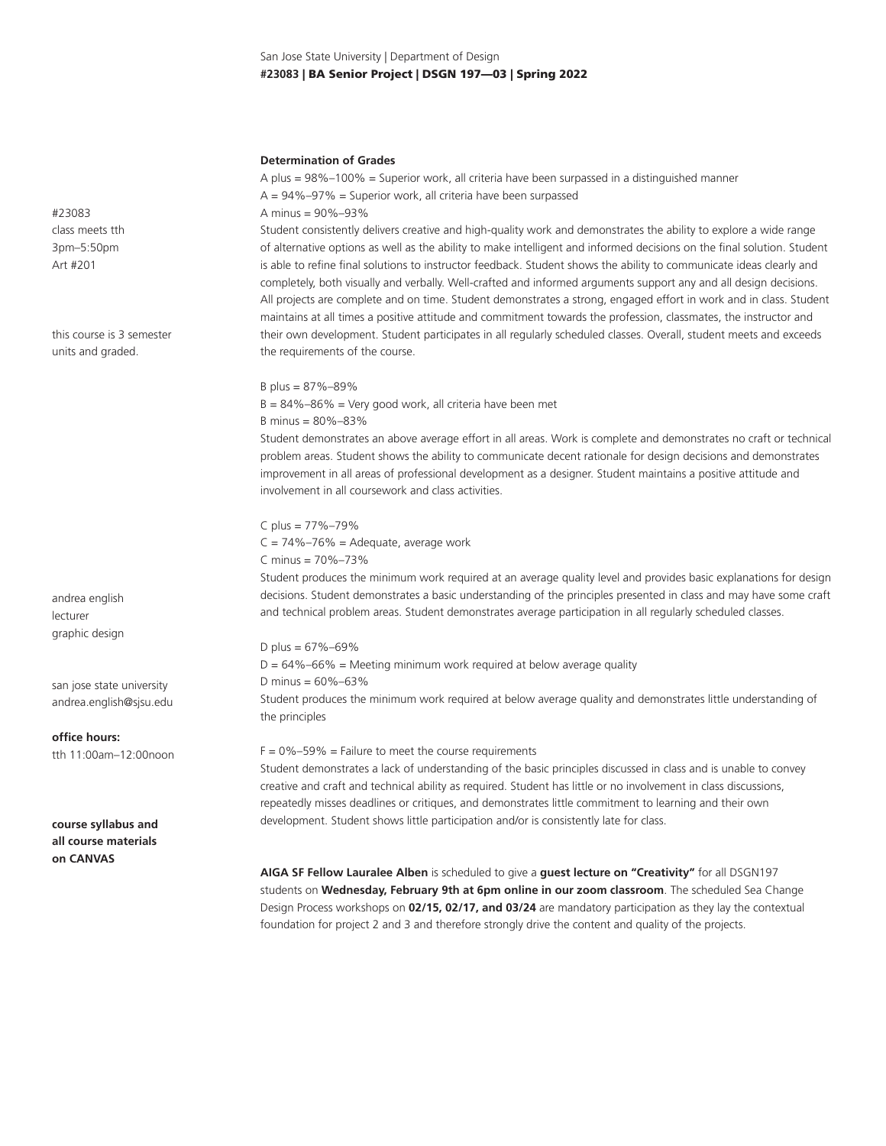# San Jose State University | Department of Design **#23083** | BA Senior Project | DSGN 197—03 | Spring 2022

#### **Determination of Grades**

A plus = 98%–100% = Superior work, all criteria have been surpassed in a distinguished manner  $A = 94\% - 97\% =$  Superior work, all criteria have been surpassed A minus = 90%–93% Student consistently delivers creative and high-quality work and demonstrates the ability to explore a wide range

of alternative options as well as the ability to make intelligent and informed decisions on the final solution. Student is able to refine final solutions to instructor feedback. Student shows the ability to communicate ideas clearly and completely, both visually and verbally. Well-crafted and informed arguments support any and all design decisions. All projects are complete and on time. Student demonstrates a strong, engaged effort in work and in class. Student maintains at all times a positive attitude and commitment towards the profession, classmates, the instructor and their own development. Student participates in all regularly scheduled classes. Overall, student meets and exceeds the requirements of the course.

# B plus = 87%–89%

 $B = 84\% - 86\% =$  Very good work, all criteria have been met B minus = 80%–83%

Student demonstrates an above average effort in all areas. Work is complete and demonstrates no craft or technical problem areas. Student shows the ability to communicate decent rationale for design decisions and demonstrates improvement in all areas of professional development as a designer. Student maintains a positive attitude and involvement in all coursework and class activities.

C plus = 77%–79%  $C = 74\% - 76\% =$  Adequate, average work C minus = 70%–73%

Student produces the minimum work required at an average quality level and provides basic explanations for design decisions. Student demonstrates a basic understanding of the principles presented in class and may have some craft and technical problem areas. Student demonstrates average participation in all regularly scheduled classes.

D plus =  $67\% - 69\%$  $D = 64\% - 66\% =$  Meeting minimum work required at below average quality D minus = 60%–63% Student produces the minimum work required at below average quality and demonstrates little understanding of the principles

 $F = 0\% - 59\% =$  Failure to meet the course requirements

Student demonstrates a lack of understanding of the basic principles discussed in class and is unable to convey creative and craft and technical ability as required. Student has little or no involvement in class discussions, repeatedly misses deadlines or critiques, and demonstrates little commitment to learning and their own development. Student shows little participation and/or is consistently late for class.

**AIGA SF Fellow Lauralee Alben** is scheduled to give a **guest lecture on "Creativity"** for all DSGN197 students on **Wednesday, February 9th at 6pm online in our zoom classroom**. The scheduled Sea Change Design Process workshops on **02/15, 02/17, and 03/24** are mandatory participation as they lay the contextual foundation for project 2 and 3 and therefore strongly drive the content and quality of the projects.

#23083 class meets tth 3pm–5:50pm Art #201

this course is 3 semester units and graded.

andrea english lecturer graphic design

san jose state university andrea.english@sjsu.edu

**office hours:** tth 11:00am–12:00noon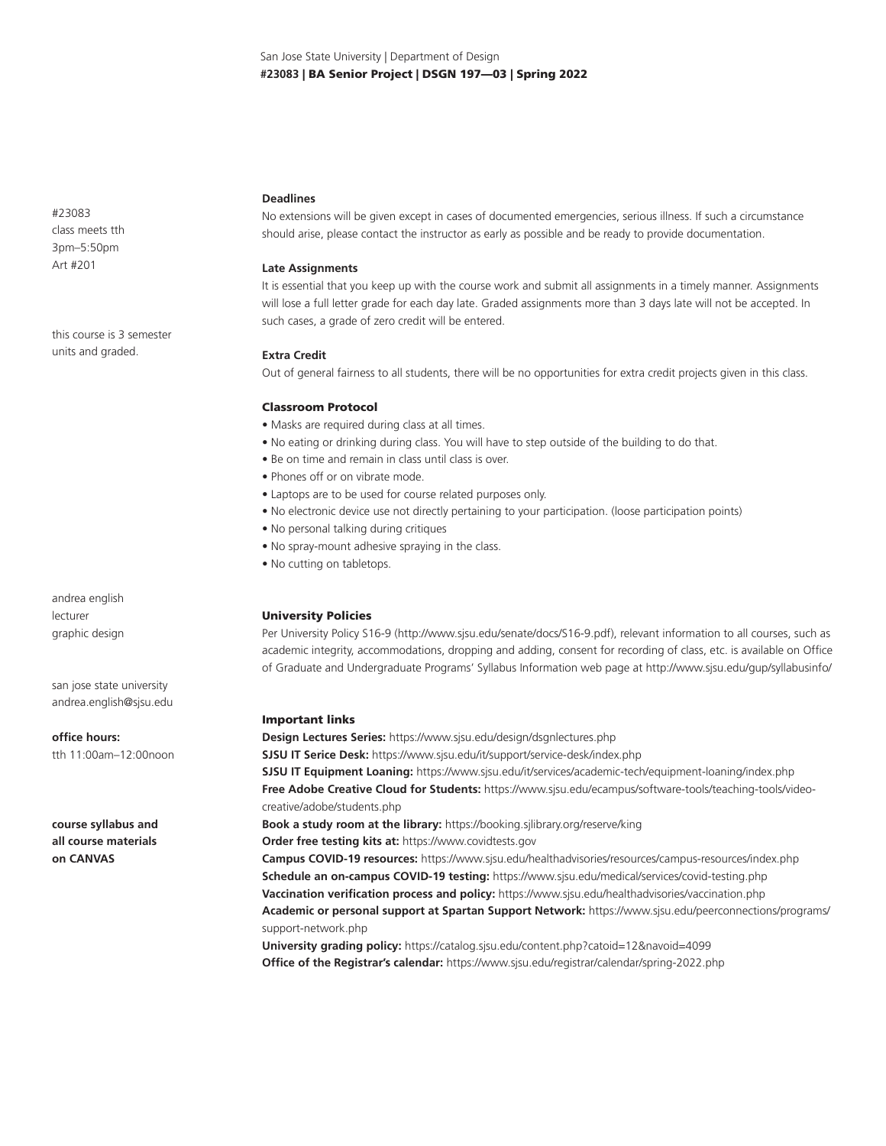#23083 class meets tth 3pm–5:50pm Art #201

this course is 3 semester units and graded.

andrea english lecturer graphic design

san jose state university andrea.english@sjsu.edu

**office hours:** tth 11:00am–12:00noon

**course syllabus and all course materials on CANVAS**

# **Deadlines**

No extensions will be given except in cases of documented emergencies, serious illness. If such a circumstance should arise, please contact the instructor as early as possible and be ready to provide documentation.

# **Late Assignments**

It is essential that you keep up with the course work and submit all assignments in a timely manner. Assignments will lose a full letter grade for each day late. Graded assignments more than 3 days late will not be accepted. In such cases, a grade of zero credit will be entered.

### **Extra Credit**

Out of general fairness to all students, there will be no opportunities for extra credit projects given in this class.

### Classroom Protocol

- Masks are required during class at all times.
- No eating or drinking during class. You will have to step outside of the building to do that.
- Be on time and remain in class until class is over.
- Phones off or on vibrate mode.
- Laptops are to be used for course related purposes only.
- No electronic device use not directly pertaining to your participation. (loose participation points)
- No personal talking during critiques
- No spray-mount adhesive spraying in the class.
- No cutting on tabletops.

# University Policies

Per University Policy S16-9 (http://www.sjsu.edu/senate/docs/S16-9.pdf), relevant information to all courses, such as academic integrity, accommodations, dropping and adding, consent for recording of class, etc. is available on Office of Graduate and Undergraduate Programs' Syllabus Information web page at http://www.sjsu.edu/gup/syllabusinfo/

### Important links

**Design Lectures Series:** https://www.sjsu.edu/design/dsgnlectures.php **SJSU IT Serice Desk:** https://www.sjsu.edu/it/support/service-desk/index.php **SJSU IT Equipment Loaning:** https://www.sjsu.edu/it/services/academic-tech/equipment-loaning/index.php **Free Adobe Creative Cloud for Students:** https://www.sjsu.edu/ecampus/software-tools/teaching-tools/videocreative/adobe/students.php **Book a study room at the library:** https://booking.sjlibrary.org/reserve/king **Order free testing kits at:** https://www.covidtests.gov **Campus COVID-19 resources:** https://www.sjsu.edu/healthadvisories/resources/campus-resources/index.php **Schedule an on-campus COVID-19 testing:** https://www.sjsu.edu/medical/services/covid-testing.php **Vaccination verification process and policy:** https://www.sjsu.edu/healthadvisories/vaccination.php **Academic or personal support at Spartan Support Network:** https://www.sjsu.edu/peerconnections/programs/ support-network.php **University grading policy:** https://catalog.sjsu.edu/content.php?catoid=12&navoid=4099 **Office of the Registrar's calendar:** https://www.sjsu.edu/registrar/calendar/spring-2022.php